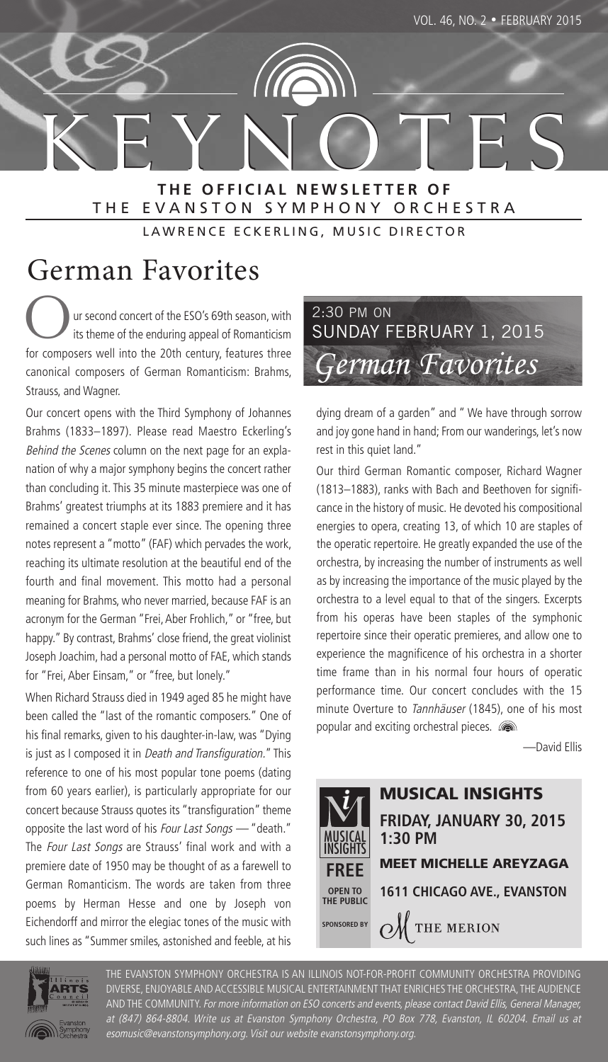K E Y N O T E S **T H E O F F I C I A L N E W S L E T T E R O F** THE EVANSTON SYMPHONY ORCHESTRA

LAWRENCE ECKERLING, MUSIC DIRECTOR

## German Favorites

ur second concert of the ESO's 69th season, with its theme of the enduring appeal of Romanticism for composers well into the 20th century, features three canonical composers of German Romanticism: Brahms, Strauss, and Wagner.

Our concert opens with the Third Symphony of Johannes Brahms (1833–1897). Please read Maestro Eckerling's Behind the Scenes column on the next page for an explanation of why a major symphony begins the concert rather than concluding it. This 35 minute masterpiece was one of Brahms' greatest triumphs at its 1883 premiere and it has remained a concert staple ever since. The opening three notes represent a "motto" (FAF) which pervades the work, reaching its ultimate resolution at the beautiful end of the fourth and final movement. This motto had a personal meaning for Brahms, who never married, because FAF is an acronym for the German "Frei, Aber Frohlich," or "free, but happy." By contrast, Brahms' close friend, the great violinist Joseph Joachim, had a personal motto of FAE, which stands for "Frei, Aber Einsam," or "free, but lonely."

When Richard Strauss died in 1949 aged 85 he might have been called the "last of the romantic composers." One of his final remarks, given to his daughter-in-law, was "Dying is just as I composed it in Death and Transfiguration." This reference to one of his most popular tone poems (dating from 60 years earlier), is particularly appropriate for our concert because Strauss quotes its "transfiguration" theme opposite the last word of his Four Last Songs - "death." The Four Last Songs are Strauss' final work and with a premiere date of 1950 may be thought of as a farewell to German Romanticism. The words are taken from three poems by Herman Hesse and one by Joseph von Eichendorff and mirror the elegiac tones of the music with such lines as "Summer smiles, astonished and feeble, at his



dying dream of a garden" and " We have through sorrow and joy gone hand in hand; From our wanderings, let's now rest in this quiet land."

Our third German Romantic composer, Richard Wagner (1813–1883), ranks with Bach and Beethoven for significance in the history of music. He devoted his compositional energies to opera, creating 13, of which 10 are staples of the operatic repertoire. He greatly expanded the use of the orchestra, by increasing the number of instruments as well as by increasing the importance of the music played by the orchestra to a level equal to that of the singers. Excerpts from his operas have been staples of the symphonic repertoire since their operatic premieres, and allow one to experience the magnificence of his orchestra in a shorter time frame than in his normal four hours of operatic performance time. Our concert concludes with the 15 minute Overture to Tannhäuser (1845), one of his most popular and exciting orchestral pieces.  $\blacksquare$ 

—David Ellis





THE EVANSTON SYMPHONY ORCHESTRA IS AN ILLINOIS NOT-FOR-PROFIT COMMUNITY ORCHESTRA PROVIDING DIVERSE, ENJOYABLE AND ACCESSIBLE MUSICAL ENTERTAINMENT THAT ENRICHES THE ORCHESTRA, THE AUDIENCE AND THE COMMUNITY. For more information on ESO concerts and events, please contact David Ellis, General Manager, at (847) 864-8804. Write us at Evanston Symphony Orchestra, PO Box 778, Evanston, IL 60204. Email us at esomusic@evanstonsymphony.org. Visit our website evanstonsymphony.org.